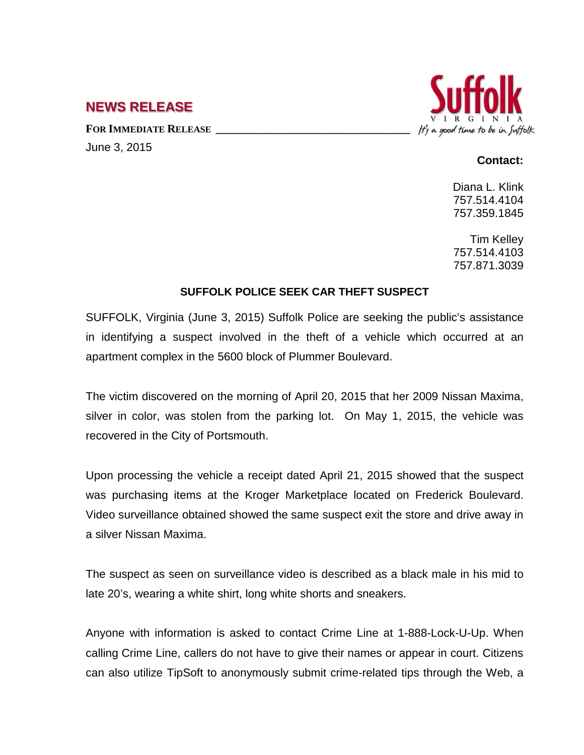## **NEWS RELEASE**

FOR **IMMEDIATE RELEASE** June 3, 2015



## **Contact:**

Diana L. Klink 757.514.4104 757.359.1845

Tim Kelley 757.514.4103 757.871.3039

## **SUFFOLK POLICE SEEK CAR THEFT SUSPECT**

SUFFOLK, Virginia (June 3, 2015) Suffolk Police are seeking the public's assistance in identifying a suspect involved in the theft of a vehicle which occurred at an apartment complex in the 5600 block of Plummer Boulevard.

The victim discovered on the morning of April 20, 2015 that her 2009 Nissan Maxima, silver in color, was stolen from the parking lot. On May 1, 2015, the vehicle was recovered in the City of Portsmouth.

Upon processing the vehicle a receipt dated April 21, 2015 showed that the suspect was purchasing items at the Kroger Marketplace located on Frederick Boulevard. Video surveillance obtained showed the same suspect exit the store and drive away in a silver Nissan Maxima.

The suspect as seen on surveillance video is described as a black male in his mid to late 20's, wearing a white shirt, long white shorts and sneakers.

Anyone with information is asked to contact Crime Line at 1-888-Lock-U-Up. When calling Crime Line, callers do not have to give their names or appear in court. Citizens can also utilize TipSoft to anonymously submit crime-related tips through the Web, a